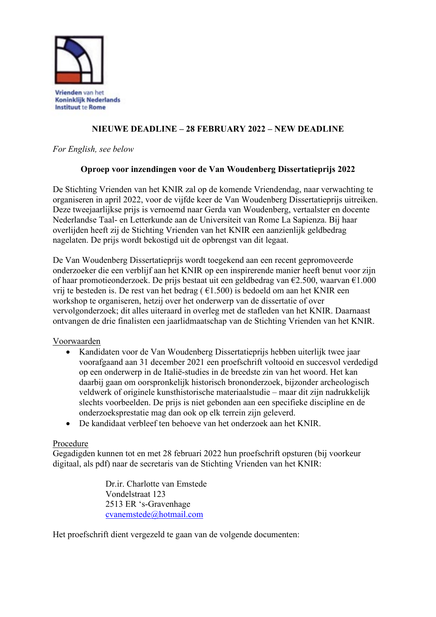

# **NIEUWE DEADLINE – 28 FEBRUARY 2022 – NEW DEADLINE**

*For English, see below*

### **Oproep voor inzendingen voor de Van Woudenberg Dissertatieprijs 2022**

De Stichting Vrienden van het KNIR zal op de komende Vriendendag, naar verwachting te organiseren in april 2022, voor de vijfde keer de Van Woudenberg Dissertatieprijs uitreiken. Deze tweejaarlijkse prijs is vernoemd naar Gerda van Woudenberg, vertaalster en docente Nederlandse Taal- en Letterkunde aan de Universiteit van Rome La Sapienza. Bij haar overlijden heeft zij de Stichting Vrienden van het KNIR een aanzienlijk geldbedrag nagelaten. De prijs wordt bekostigd uit de opbrengst van dit legaat.

De Van Woudenberg Dissertatieprijs wordt toegekend aan een recent gepromoveerde onderzoeker die een verblijf aan het KNIR op een inspirerende manier heeft benut voor zijn of haar promotieonderzoek. De prijs bestaat uit een geldbedrag van  $\epsilon$ 2.500, waarvan  $\epsilon$ 1.000 vrij te besteden is. De rest van het bedrag ( $\epsilon$ 1.500) is bedoeld om aan het KNIR een workshop te organiseren, hetzij over het onderwerp van de dissertatie of over vervolgonderzoek; dit alles uiteraard in overleg met de stafleden van het KNIR. Daarnaast ontvangen de drie finalisten een jaarlidmaatschap van de Stichting Vrienden van het KNIR.

### Voorwaarden

- Kandidaten voor de Van Woudenberg Dissertatieprijs hebben uiterlijk twee jaar voorafgaand aan 31 december 2021 een proefschrift voltooid en succesvol verdedigd op een onderwerp in de Italië-studies in de breedste zin van het woord. Het kan daarbij gaan om oorspronkelijk historisch brononderzoek, bijzonder archeologisch veldwerk of originele kunsthistorische materiaalstudie – maar dit zijn nadrukkelijk slechts voorbeelden. De prijs is niet gebonden aan een specifieke discipline en de onderzoeksprestatie mag dan ook op elk terrein zijn geleverd.
- De kandidaat verbleef ten behoeve van het onderzoek aan het KNIR.

### Procedure

Gegadigden kunnen tot en met 28 februari 2022 hun proefschrift opsturen (bij voorkeur digitaal, als pdf) naar de secretaris van de Stichting Vrienden van het KNIR:

> Dr.ir. Charlotte van Emstede Vondelstraat 123 2513 ER 's-Gravenhage [cvanemstede@hotmail.com](mailto:cvanemstede@hotmail.com)

Het proefschrift dient vergezeld te gaan van de volgende documenten: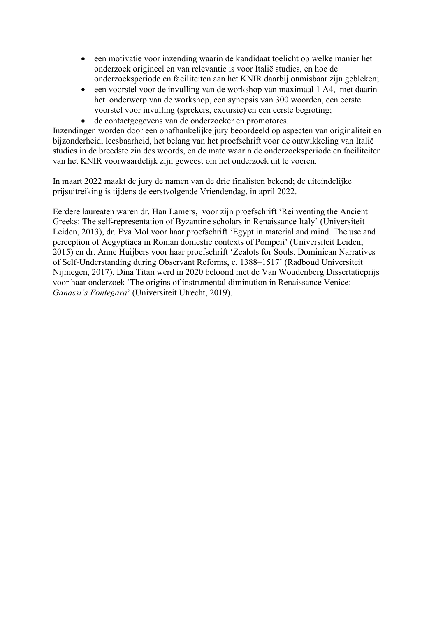- een motivatie voor inzending waarin de kandidaat toelicht op welke manier het onderzoek origineel en van relevantie is voor Italië studies, en hoe de onderzoeksperiode en faciliteiten aan het KNIR daarbij onmisbaar zijn gebleken;
- een voorstel voor de invulling van de workshop van maximaal 1 A4, met daarin het onderwerp van de workshop, een synopsis van 300 woorden, een eerste voorstel voor invulling (sprekers, excursie) en een eerste begroting;
- de contactgegevens van de onderzoeker en promotores.

Inzendingen worden door een onafhankelijke jury beoordeeld op aspecten van originaliteit en bijzonderheid, leesbaarheid, het belang van het proefschrift voor de ontwikkeling van Italië studies in de breedste zin des woords, en de mate waarin de onderzoeksperiode en faciliteiten van het KNIR voorwaardelijk zijn geweest om het onderzoek uit te voeren.

In maart 2022 maakt de jury de namen van de drie finalisten bekend; de uiteindelijke prijsuitreiking is tijdens de eerstvolgende Vriendendag, in april 2022.

Eerdere laureaten waren dr. Han Lamers, voor zijn proefschrift 'Reinventing the Ancient Greeks: The self-representation of Byzantine scholars in Renaissance Italy' (Universiteit Leiden, 2013), dr. Eva Mol voor haar proefschrift 'Egypt in material and mind. The use and perception of Aegyptiaca in Roman domestic contexts of Pompeii' (Universiteit Leiden, 2015) en dr. Anne Huijbers voor haar proefschrift 'Zealots for Souls. Dominican Narratives of Self-Understanding during Observant Reforms, c. 1388–1517' (Radboud Universiteit Nijmegen, 2017). Dina Titan werd in 2020 beloond met de Van Woudenberg Dissertatieprijs voor haar onderzoek 'The origins of instrumental diminution in Renaissance Venice: *Ganassi's Fontegara*' (Universiteit Utrecht, 2019).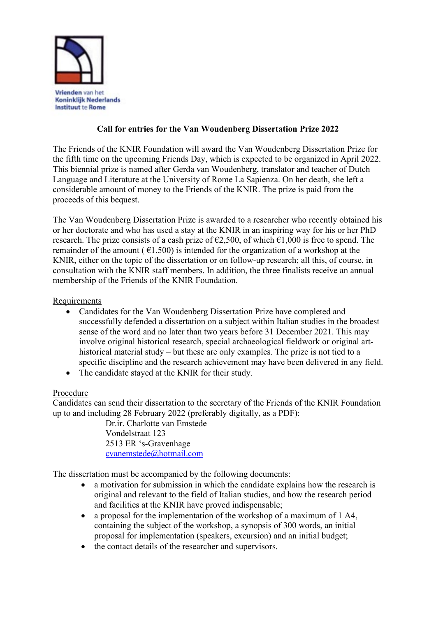

## **Call for entries for the Van Woudenberg Dissertation Prize 2022**

The Friends of the KNIR Foundation will award the Van Woudenberg Dissertation Prize for the fifth time on the upcoming Friends Day, which is expected to be organized in April 2022. This biennial prize is named after Gerda van Woudenberg, translator and teacher of Dutch Language and Literature at the University of Rome La Sapienza. On her death, she left a considerable amount of money to the Friends of the KNIR. The prize is paid from the proceeds of this bequest.

The Van Woudenberg Dissertation Prize is awarded to a researcher who recently obtained his or her doctorate and who has used a stay at the KNIR in an inspiring way for his or her PhD research. The prize consists of a cash prize of  $\epsilon$ 2,500, of which  $\epsilon$ 1,000 is free to spend. The remainder of the amount ( $\epsilon$ 1,500) is intended for the organization of a workshop at the KNIR, either on the topic of the dissertation or on follow-up research; all this, of course, in consultation with the KNIR staff members. In addition, the three finalists receive an annual membership of the Friends of the KNIR Foundation.

**Requirements** 

- Candidates for the Van Woudenberg Dissertation Prize have completed and successfully defended a dissertation on a subject within Italian studies in the broadest sense of the word and no later than two years before 31 December 2021. This may involve original historical research, special archaeological fieldwork or original arthistorical material study – but these are only examples. The prize is not tied to a specific discipline and the research achievement may have been delivered in any field.
- The candidate stayed at the KNIR for their study.

### Procedure

Candidates can send their dissertation to the secretary of the Friends of the KNIR Foundation up to and including 28 February 2022 (preferably digitally, as a PDF):

> Dr.ir. Charlotte van Emstede Vondelstraat 123 2513 ER 's-Gravenhage [cvanemstede@hotmail.com](mailto:cvanemstede@hotmail.com)

The dissertation must be accompanied by the following documents:

- a motivation for submission in which the candidate explains how the research is original and relevant to the field of Italian studies, and how the research period and facilities at the KNIR have proved indispensable;
- a proposal for the implementation of the workshop of a maximum of 1 A4, containing the subject of the workshop, a synopsis of 300 words, an initial proposal for implementation (speakers, excursion) and an initial budget;
- the contact details of the researcher and supervisors.